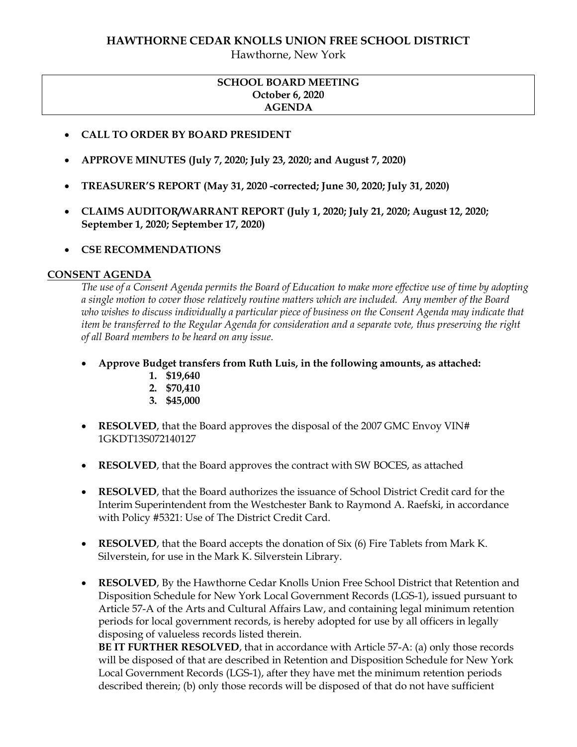# **HAWTHORNE CEDAR KNOLLS UNION FREE SCHOOL DISTRICT**

Hawthorne, New York

## **SCHOOL BOARD MEETING October 6, 2020 AGENDA**

- **CALL TO ORDER BY BOARD PRESIDENT**
- **APPROVE MINUTES (July 7, 2020; July 23, 2020; and August 7, 2020)**
- **TREASURER'S REPORT (May 31, 2020 -corrected; June 30, 2020; July 31, 2020)**
- **CLAIMS AUDITOR/WARRANT REPORT (July 1, 2020; July 21, 2020; August 12, 2020; September 1, 2020; September 17, 2020)**
- **CSE RECOMMENDATIONS**

#### **CONSENT AGENDA**

*The use of a Consent Agenda permits the Board of Education to make more effective use of time by adopting a single motion to cover those relatively routine matters which are included. Any member of the Board who wishes to discuss individually a particular piece of business on the Consent Agenda may indicate that item be transferred to the Regular Agenda for consideration and a separate vote, thus preserving the right of all Board members to be heard on any issue.* 

- **Approve Budget transfers from Ruth Luis, in the following amounts, as attached:** 
	- **1. \$19,640**
	- **2. \$70,410**
	- **3. \$45,000**
- **RESOLVED**, that the Board approves the disposal of the 2007 GMC Envoy VIN# 1GKDT13S072140127
- **RESOLVED**, that the Board approves the contract with SW BOCES, as attached
- **RESOLVED**, that the Board authorizes the issuance of School District Credit card for the Interim Superintendent from the Westchester Bank to Raymond A. Raefski, in accordance with Policy #5321: Use of The District Credit Card.
- **RESOLVED**, that the Board accepts the donation of Six (6) Fire Tablets from Mark K. Silverstein, for use in the Mark K. Silverstein Library.
- **RESOLVED**, By the Hawthorne Cedar Knolls Union Free School District that Retention and Disposition Schedule for New York Local Government Records (LGS-1), issued pursuant to Article 57-A of the Arts and Cultural Affairs Law, and containing legal minimum retention periods for local government records, is hereby adopted for use by all officers in legally disposing of valueless records listed therein.

**BE IT FURTHER RESOLVED**, that in accordance with Article 57-A: (a) only those records will be disposed of that are described in Retention and Disposition Schedule for New York Local Government Records (LGS-1), after they have met the minimum retention periods described therein; (b) only those records will be disposed of that do not have sufficient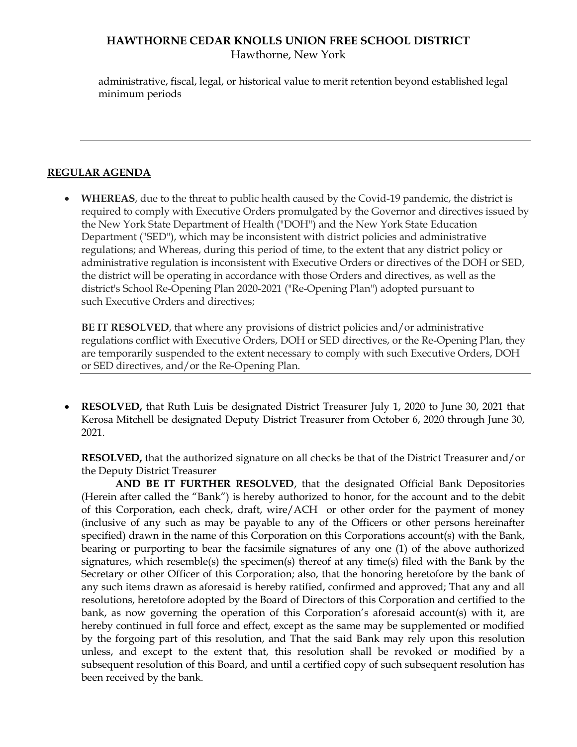# **HAWTHORNE CEDAR KNOLLS UNION FREE SCHOOL DISTRICT** Hawthorne, New York

administrative, fiscal, legal, or historical value to merit retention beyond established legal minimum periods

#### **REGULAR AGENDA**

 **WHEREAS**, due to the threat to public health caused by the Covid-19 pandemic, the district is required to comply with Executive Orders promulgated by the Governor and directives issued by the New York State Department of Health ("DOH") and the New York State Education Department ("SED"), which may be inconsistent with district policies and administrative regulations; and Whereas, during this period of time, to the extent that any district policy or administrative regulation is inconsistent with Executive Orders or directives of the DOH or SED, the district will be operating in accordance with those Orders and directives, as well as the district's School Re-Opening Plan 2020-2021 ("Re-Opening Plan") adopted pursuant to such Executive Orders and directives;

**BE IT RESOLVED**, that where any provisions of district policies and/or administrative regulations conflict with Executive Orders, DOH or SED directives, or the Re-Opening Plan, they are temporarily suspended to the extent necessary to comply with such Executive Orders, DOH or SED directives, and/or the Re-Opening Plan.

 **RESOLVED,** that Ruth Luis be designated District Treasurer July 1, 2020 to June 30, 2021 that Kerosa Mitchell be designated Deputy District Treasurer from October 6, 2020 through June 30, 2021.

**RESOLVED,** that the authorized signature on all checks be that of the District Treasurer and/or the Deputy District Treasurer

**AND BE IT FURTHER RESOLVED**, that the designated Official Bank Depositories (Herein after called the "Bank") is hereby authorized to honor, for the account and to the debit of this Corporation, each check, draft, wire/ACH or other order for the payment of money (inclusive of any such as may be payable to any of the Officers or other persons hereinafter specified) drawn in the name of this Corporation on this Corporations account(s) with the Bank, bearing or purporting to bear the facsimile signatures of any one (1) of the above authorized signatures, which resemble(s) the specimen(s) thereof at any time(s) filed with the Bank by the Secretary or other Officer of this Corporation; also, that the honoring heretofore by the bank of any such items drawn as aforesaid is hereby ratified, confirmed and approved; That any and all resolutions, heretofore adopted by the Board of Directors of this Corporation and certified to the bank, as now governing the operation of this Corporation's aforesaid account(s) with it, are hereby continued in full force and effect, except as the same may be supplemented or modified by the forgoing part of this resolution, and That the said Bank may rely upon this resolution unless, and except to the extent that, this resolution shall be revoked or modified by a subsequent resolution of this Board, and until a certified copy of such subsequent resolution has been received by the bank.